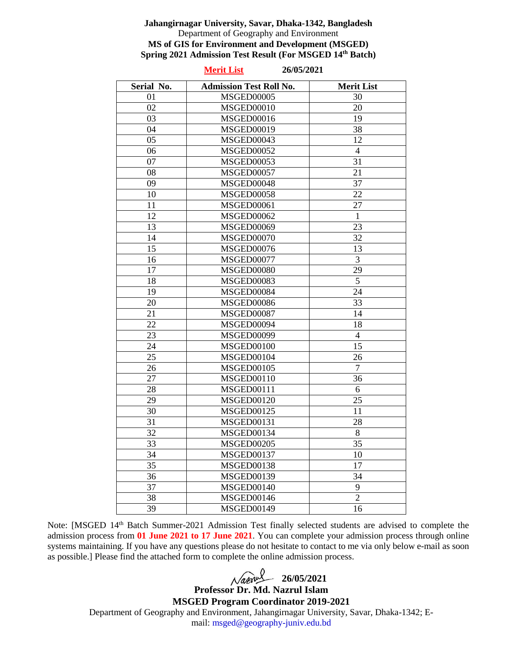#### **Jahangirnagar University, Savar, Dhaka-1342, Bangladesh** Department of Geography and Environment **MS of GIS for Environment and Development (MSGED) Spring 2021 Admission Test Result (For MSGED 14th Batch)**

|            | 26/05/2021<br><b>Merit List</b> |                   |
|------------|---------------------------------|-------------------|
| Serial No. | <b>Admission Test Roll No.</b>  | <b>Merit List</b> |
| 01         | <b>MSGED00005</b>               | 30                |
| 02         | MSGED00010                      | 20                |
| 03         | MSGED00016                      | 19                |
| 04         | <b>MSGED00019</b>               | 38                |
| $05\,$     | MSGED00043                      | 12                |
| 06         | <b>MSGED00052</b>               | $\overline{4}$    |
| 07         | MSGED00053                      | 31                |
| 08         | MSGED00057                      | 21                |
| 09         | MSGED00048                      | 37                |
| 10         | <b>MSGED00058</b>               | 22                |
| 11         | <b>MSGED00061</b>               | 27                |
| 12         | <b>MSGED00062</b>               | $\mathbf{1}$      |
| 13         | <b>MSGED00069</b>               | 23                |
| 14         | <b>MSGED00070</b>               | 32                |
| 15         | MSGED00076                      | 13                |
| 16         | <b>MSGED00077</b>               | $\overline{3}$    |
| 17         | MSGED00080                      | 29                |
| 18         | <b>MSGED00083</b>               | 5                 |
| 19         | <b>MSGED00084</b>               | 24                |
| 20         | MSGED00086                      | 33                |
| 21         | <b>MSGED00087</b>               | 14                |
| 22         | MSGED00094                      | 18                |
| 23         | <b>MSGED00099</b>               | $\overline{4}$    |
| 24         | MSGED00100                      | 15                |
| 25         | MSGED00104                      | 26                |
| 26         | <b>MSGED00105</b>               | $\overline{7}$    |
| 27         | <b>MSGED00110</b>               | 36                |
| 28         | MSGED00111                      | 6                 |
| 29         | <b>MSGED00120</b>               | 25                |
| 30         | MSGED00125                      | 11                |
| 31         | <b>MSGED00131</b>               | 28                |
| 32         | MSGED00134                      | 8                 |
| 33         | MSGED00205                      | 35                |
| 34         | <b>MSGED00137</b>               | 10                |
| 35         | <b>MSGED00138</b>               | 17                |
| 36         | <b>MSGED00139</b>               | 34                |
| 37         | MSGED00140                      | 9                 |
| 38         | MSGED00146                      | $\overline{2}$    |
| 39         | <b>MSGED00149</b>               | 16                |

Note: [MSGED 14th Batch Summer-2021 Admission Test finally selected students are advised to complete the admission process from **01 June 2021 to 17 June 2021**. You can complete your admission process through online systems maintaining. If you have any questions please do not hesitate to contact to me via only below e-mail as soon as possible.] Please find the attached form to complete the online admission process.

  $\sqrt{a}$ *z* $\frac{a}{26/05/2021}$ 

**Professor Dr. Md. Nazrul Islam MSGED Program Coordinator 2019-2021**

Department of Geography and Environment, Jahangirnagar University, Savar, Dhaka-1342; Email: msged@geography-juniv.edu.bd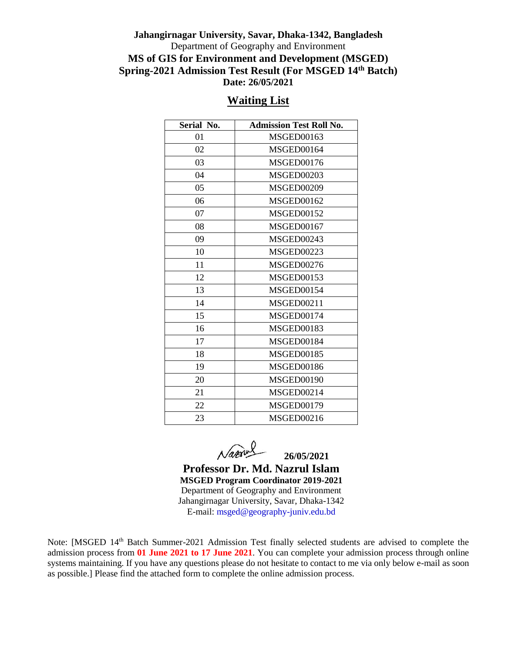### **Jahangirnagar University, Savar, Dhaka-1342, Bangladesh** Department of Geography and Environment **MS of GIS for Environment and Development (MSGED) Spring-2021 Admission Test Result (For MSGED 14th Batch) Date: 26/05/2021**

|--|

| Serial No. | <b>Admission Test Roll No.</b> |  |  |  |  |
|------------|--------------------------------|--|--|--|--|
| 01         |                                |  |  |  |  |
|            | MSGED00163                     |  |  |  |  |
| 02         | MSGED00164                     |  |  |  |  |
| 03         | <b>MSGED00176</b>              |  |  |  |  |
| 04         | <b>MSGED00203</b>              |  |  |  |  |
| 05         | MSGED00209                     |  |  |  |  |
| 06         | <b>MSGED00162</b>              |  |  |  |  |
| 07         | MSGED00152                     |  |  |  |  |
| 08         | MSGED00167                     |  |  |  |  |
| 09         | MSGED00243                     |  |  |  |  |
| 10         | MSGED00223                     |  |  |  |  |
| 11         | MSGED00276                     |  |  |  |  |
| 12         | <b>MSGED00153</b>              |  |  |  |  |
| 13         | MSGED00154                     |  |  |  |  |
| 14         | <b>MSGED00211</b>              |  |  |  |  |
| 15         | <b>MSGED00174</b>              |  |  |  |  |
| 16         | <b>MSGED00183</b>              |  |  |  |  |
| 17         | <b>MSGED00184</b>              |  |  |  |  |
| 18         | <b>MSGED00185</b>              |  |  |  |  |
| 19         | <b>MSGED00186</b>              |  |  |  |  |
| 20         | <b>MSGED00190</b>              |  |  |  |  |
| 21         | MSGED00214                     |  |  |  |  |
| 22         | <b>MSGED00179</b>              |  |  |  |  |
| 23         | <b>MSGED00216</b>              |  |  |  |  |

 **26/05/2021** 

**Professor Dr. Md. Nazrul Islam MSGED Program Coordinator 2019-2021** Department of Geography and Environment Jahangirnagar University, Savar, Dhaka-1342 E-mail: msged@geography-juniv.edu.bd

Note: [MSGED 14th Batch Summer-2021 Admission Test finally selected students are advised to complete the admission process from **01 June 2021 to 17 June 2021**. You can complete your admission process through online systems maintaining. If you have any questions please do not hesitate to contact to me via only below e-mail as soon as possible.] Please find the attached form to complete the online admission process.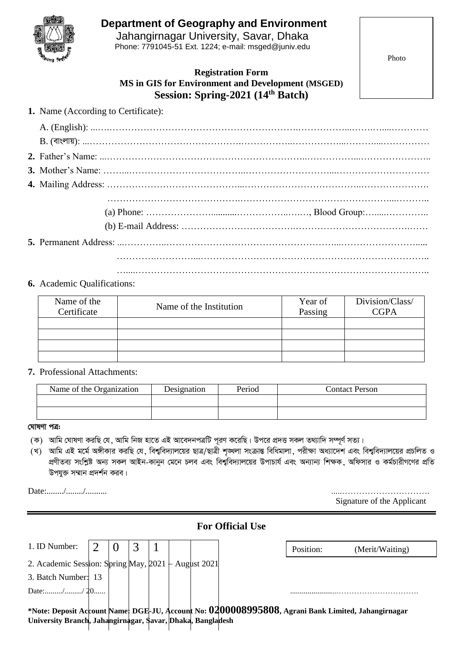

# **Department of Geography and Environment**

Jahangirnagar University, Savar, Dhaka Phone: 7791045-51 Ext. 1224; e-mail: msged@juniv.edu

Photo

## **Registration Form MS in GIS for Environment and Development (MSGED) Session: Spring-2021 (14 th Batch)**

|  | <b>1.</b> Name (According to Certificate): |  |
|--|--------------------------------------------|--|
|  |                                            |  |

#### **6.** Academic Qualifications:

| Name of the<br>Certificate | Name of the Institution | Year of<br>Passing | Division/Class/<br>CGPA |
|----------------------------|-------------------------|--------------------|-------------------------|
|                            |                         |                    |                         |
|                            |                         |                    |                         |
|                            |                         |                    |                         |
|                            |                         |                    |                         |

#### **7.** Professional Attachments:

| Name of the Organization | Designation | Period | <b>Contact Person</b> |
|--------------------------|-------------|--------|-----------------------|
|                          |             |        |                       |
|                          |             |        |                       |

#### <u>ঘোষণা পত্ৰ:</u>

- (ক) আমি ঘোষণা করছি যে, আমি নিজ হাতে এই আবেদনপত্রটি পূরণ করেছি। উপরে প্রদত্ত সকল তথ্যাদি সম্পূর্ণ সত্য।
- ্খ) আমি এই মর্মে অঙ্গীকার করছি যে, বিশ্ববিদ্যালয়ের ছাত্র/ছাত্রী শৃঙ্খলা সংক্রান্ত বিধিমালা, পরীক্ষা অধ্যাদেশ এবং বিশ্ববিদ্যালয়ের প্রচলিত ও প্রণীতব্য সংশ্লিষ্ট অন্য সকল আইন-কানুন মেনে চলব এবং বিশ্ববিদ্যালয়ের উপাচার্য এবং অন্যান্য শিক্ষক, অফিসার ও কর্মচারীগণের প্রতি উপযুক্ত সম্মান প্ৰদৰ্শন করব।

Date:......../......../.......... .....………………………….

| Signature of the Applicant |  |
|----------------------------|--|

| <b>For Official Use</b>                                    |  |  |  |  |  |  |           |                                                                                                    |
|------------------------------------------------------------|--|--|--|--|--|--|-----------|----------------------------------------------------------------------------------------------------|
| 1. ID Number:                                              |  |  |  |  |  |  | Position: | (Merit/Waiting)                                                                                    |
| 2. Academic Session: Spring May, 2021 + August 2021        |  |  |  |  |  |  |           |                                                                                                    |
| 3. Batch Number: 13                                        |  |  |  |  |  |  |           |                                                                                                    |
| Date:// 20                                                 |  |  |  |  |  |  |           |                                                                                                    |
| University Branch, Jahangirnagar, Savar, Dhaka, Bangladesh |  |  |  |  |  |  |           | *Note: Deposit Account Name: DGE-JU, Account No: 0200008995808, Agrani Bank Limited, Jahangirnagar |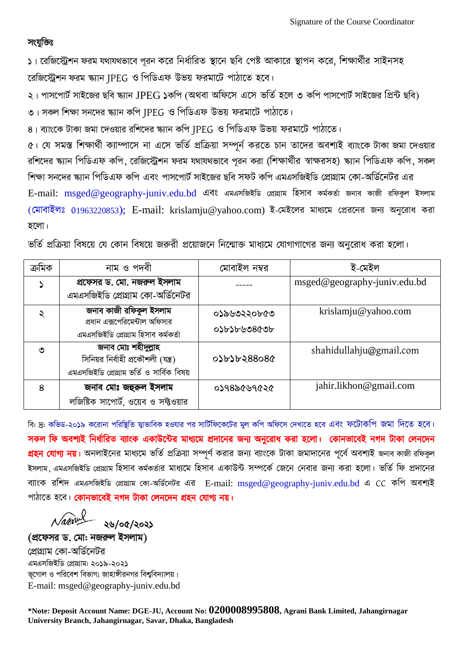# সংযুক্তিঃ

১। রেজিস্ট্রেশন ফরম যথাযথভাবে পরন করে নির্ধারিত স্থানে ছবি পেষ্ট আকারে স্থাপন করে, শিক্ষার্থীর সাইনসহ রেজিস্ট্রেশন ফরম ক্ষ্যান IPEG ও পিডিএফ উভয় ফরমাটে পাঠাতে হবে।

২। পাসপোর্ট সাইজের ছবি স্ক্যান  $JPEG$  ১কপি (অথবা অফিসে এসে ভর্তি হলে ৩ কপি পাসপোর্ট সাইজের প্রিন্ট ছবি)

৩। সকল শিক্ষা সনদের স্ক্যান কপি JPEG ও পিডিএফ উভয় ফরমার্টে পাঠাতে।

৪। ব্যাংকে টাকা জমা দেওয়ার রশিদের স্ক্যান কপি JPEG ও পিডিএফ উভয় ফরমার্টে পাঠাতে।

৫। যে সমস্ত শিক্ষার্থী ক্যাম্পাসে না এসে ভর্তি প্রক্রিয়া সম্পূর্ন করতে চান তাদের অবশ্যই ব্যাংকে টাকা জমা দেওয়ার রশিদের ক্ষ্যান পিডিএফ কপি, রেজিস্ট্রেশন ফরম যথাযথভাবে পূরন করা (শিক্ষার্থীর স্বাক্ষরসহ) ক্ষ্যান পিডিএফ কপি, সকল শিক্ষা সনদের ক্ষ্যান পিডিএফ কপি এবং পাসপোর্ট সাইজের ছবি সফট কপি এমএসজিইডি প্রোগ্রাম কো-অর্ডিনেটর এর E-mail: [msged@geography-juniv.edu.bd](mailto:msged@geography-juniv.edu.bd) এবং এমএসজিইডি প্ৰোগ্ৰাম হিসাব কৰ্মকৰ্তা জনাব কাজী রফিকুল ইসলাম (মোবাইলঃ 01963220853); E-mail: [krislamju@yahoo.com\)](mailto:krislamju@yahoo.com) ই-মেইলের মাধ্যমে প্রেরনের জন্য অনুরোধ করা হরো।

ভর্তি প্রক্রিয়া বিষয়ে যে কোন বিষয়ে জরুরী প্রয়োজনে নিন্মোক্ত মাধ্যমে যোগাগাগের জন্য অনরোধ করা হলো।

| ক্ৰমিক | নাম ও পদবী                                                           | মোবাইল নম্বর | ই-মেইল                       |
|--------|----------------------------------------------------------------------|--------------|------------------------------|
|        | প্রফেসর ড. মো. নজরুল ইসলাম                                           |              | msged@geography-juniv.edu.bd |
|        | এমএসজিইডি প্রোগ্রাম কো-অর্ডিনেটর                                     |              |                              |
| ২      | জনাব কাজী রফিকুল ইসলাম                                               | ০১৯৬৩২২০৮৫৩  | krislamju@yahoo.com          |
|        | প্রধান এক্সপেরিমেন্টাল অফিসার<br>এমএসজিইডি প্ৰোগ্ৰাম হিসাব কৰ্মকৰ্তা | ০১৮১৮৬৩৪৫৩৮  |                              |
| ৩      | জনাব মোঃ শহীদুল্লাহ                                                  |              | shahidullahju@gmail.com      |
|        | সিনিয়র নির্বাহী প্রকৌশলী (যন্ত্র)                                   | 0)6088546080 |                              |
|        | এমএসজিইডি প্রোগ্রাম ভর্তি ও সার্বিক বিষয়                            |              |                              |
| 8      | জনাব মোঃ জহুরুল ইসলাম                                                | ०১৭৪৯৫৬৭৫২৫  | jahir.likhon@gmail.com       |
|        | লজিষ্টিক সাপোর্ট, ওয়েব ও সফ্টওয়ার                                  |              |                              |

বি: দ্র: কভিড-২০১৯ করোনা পরিষ্থিতি স্বাভাবিক হওযার পর সার্টিফিকেটের মুল কপি অফিসে দেখাতে হবে এবং ফটোকপি জমা দিতে হবে। সকল ফি অবশ্যই নির্ধারিত ব্যাংক একাউন্টের মাধ্যমে প্রদানের জন্য অনুরোধ করা হলো। কোনভাবেই নগদ টাকা লেনদেন <mark>গ্রহন যোগ্য নয়।</mark> অনলাইনের মাধ্যমে ভর্তি প্রক্রিয়া সম্পূর্ণ করার জন্য ব্যাংকে টাকা জমাদানের পূর্বে অবশ্যই জনাব কাজী রফিকুল ইসলাম, এমএসজিইডি প্রোগ্রাম হিসাব কর্মকর্তার মাধ্যমে হিসাব একাউন্ট সম্পর্কে জেনে নেবার জন্য করা হলো। ভর্তি ফি প্রদানের ব্যাংক রশিদ এমএসজিইডি প্রোগ্রাম কো-অর্ডিনেটর এর E-mail: [msged@geography-juniv.edu.bd](mailto:msged@geography-juniv.edu.bd) এ CC কপি অবশ্যই পাঠাতে হবে। কোনভাবেই নগদ টাকা লেনদেন গ্রহন যোগ্য নয়।

২৬/০৫/২০২১

(প্রফেসর ড. মো: নজরুল ইসলাম) প্রোগ্রাম কো-অর্ডিনেটর এমএসজিইডি প্রোগ্রাম: ২০১৯-২০২১ ভূগোল ও পরিবেশ বিভাগ; জাহাঙ্গীরনগর বিশ্ববিদ্যালয়। E-mail: [msged@geography-juniv.edu.bd](mailto:msged@geography-juniv.edu.bd)

**\*Note: Deposit Account Name: DGE-JU, Account No: 0200008995808, Agrani Bank Limited, Jahangirnagar University Branch, Jahangirnagar, Savar, Dhaka, Bangladesh**